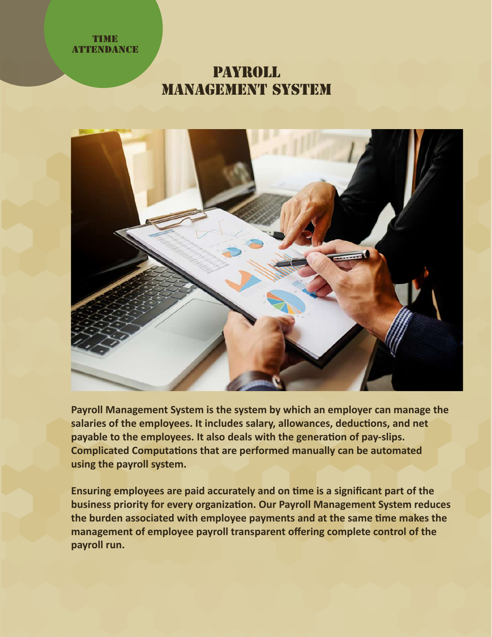## **TIME ATTENDANCE**

## Payroll management System



**Payroll Management System is the system by which an employer can manage the** salaries of the employees. It includes salary, allowances, deductions, and net payable to the employees. It also deals with the generation of pay-slips. **Complicated Computations that are performed manually can be automated using the payroll system.**

**Ensuring employees are paid accurately and on �me is a significant part of the business priority for every organization. Our Payroll Management System reduces** the burden associated with employee payments and at the same time makes the **management of employee payroll transparent offering complete control of the payroll run.**